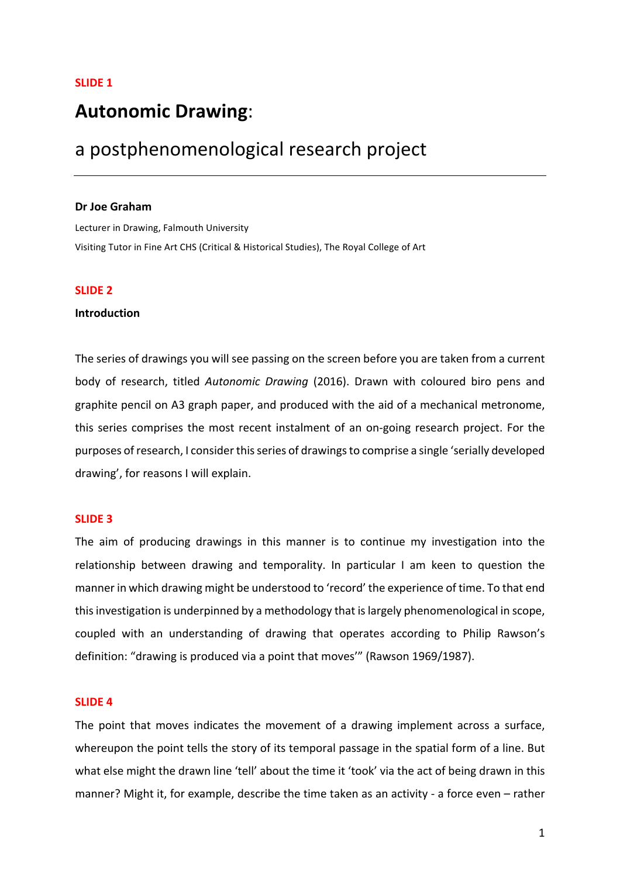# **Autonomic Drawing**:

# a postphenomenological research project

### **Dr Joe Graham**

Lecturer in Drawing, Falmouth University Visiting Tutor in Fine Art CHS (Critical & Historical Studies), The Royal College of Art

# **SLIDE 2**

## **Introduction**

The series of drawings you will see passing on the screen before you are taken from a current body of research, titled Autonomic Drawing (2016). Drawn with coloured biro pens and graphite pencil on A3 graph paper, and produced with the aid of a mechanical metronome, this series comprises the most recent instalment of an on-going research project. For the purposes of research, I consider this series of drawings to comprise a single 'serially developed drawing', for reasons I will explain.

# **SLIDE 3**

The aim of producing drawings in this manner is to continue my investigation into the relationship between drawing and temporality. In particular I am keen to question the manner in which drawing might be understood to 'record' the experience of time. To that end this investigation is underpinned by a methodology that is largely phenomenological in scope, coupled with an understanding of drawing that operates according to Philip Rawson's definition: "drawing is produced via a point that moves"" (Rawson 1969/1987).

# **SLIDE 4**

The point that moves indicates the movement of a drawing implement across a surface, whereupon the point tells the story of its temporal passage in the spatial form of a line. But what else might the drawn line 'tell' about the time it 'took' via the act of being drawn in this manner? Might it, for example, describe the time taken as an activity - a force even – rather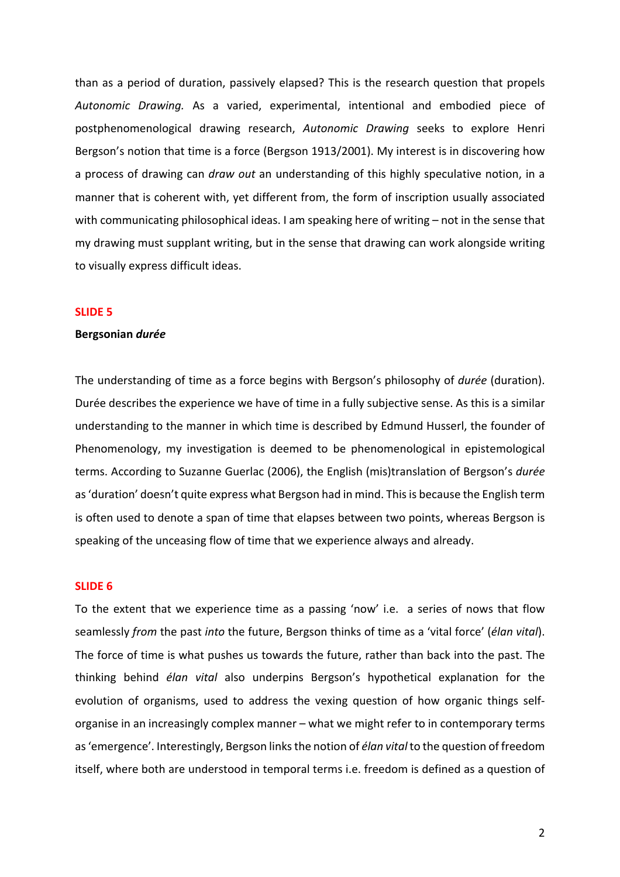than as a period of duration, passively elapsed? This is the research question that propels Autonomic Drawing. As a varied, experimental, intentional and embodied piece of postphenomenological drawing research, Autonomic Drawing seeks to explore Henri Bergson's notion that time is a force (Bergson 1913/2001). My interest is in discovering how a process of drawing can *draw out* an understanding of this highly speculative notion, in a manner that is coherent with, yet different from, the form of inscription usually associated with communicating philosophical ideas. I am speaking here of writing  $-$  not in the sense that my drawing must supplant writing, but in the sense that drawing can work alongside writing to visually express difficult ideas.

## **SLIDE 5**

#### **Bergsonian** *durée*

The understanding of time as a force begins with Bergson's philosophy of *durée* (duration). Durée describes the experience we have of time in a fully subjective sense. As this is a similar understanding to the manner in which time is described by Edmund Husserl, the founder of Phenomenology, my investigation is deemed to be phenomenological in epistemological terms. According to Suzanne Guerlac (2006), the English (mis)translation of Bergson's durée as 'duration' doesn't quite express what Bergson had in mind. This is because the English term is often used to denote a span of time that elapses between two points, whereas Bergson is speaking of the unceasing flow of time that we experience always and already.

# **SLIDE 6**

To the extent that we experience time as a passing 'now' i.e. a series of nows that flow seamlessly *from* the past *into* the future, Bergson thinks of time as a 'vital force' (*élan vital*). The force of time is what pushes us towards the future, rather than back into the past. The thinking behind *élan vital* also underpins Bergson's hypothetical explanation for the evolution of organisms, used to address the vexing question of how organic things selforganise in an increasingly complex manner – what we might refer to in contemporary terms as 'emergence'. Interestingly, Bergson links the notion of *élan vital* to the question of freedom itself, where both are understood in temporal terms i.e. freedom is defined as a question of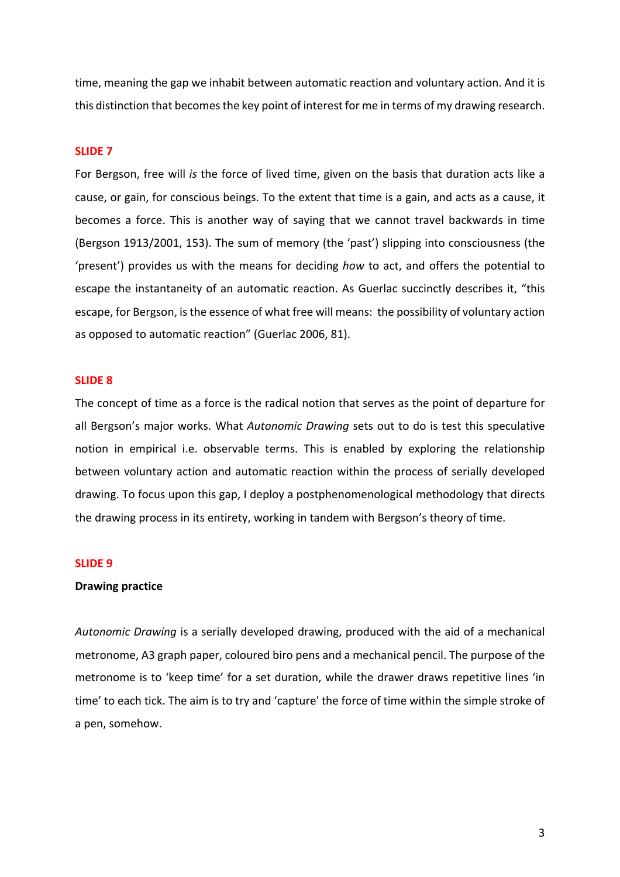time, meaning the gap we inhabit between automatic reaction and voluntary action. And it is this distinction that becomes the key point of interest for me in terms of my drawing research.

## **SLIDE 7**

For Bergson, free will *is* the force of lived time, given on the basis that duration acts like a cause, or gain, for conscious beings. To the extent that time is a gain, and acts as a cause, it becomes a force. This is another way of saying that we cannot travel backwards in time (Bergson 1913/2001, 153). The sum of memory (the 'past') slipping into consciousness (the 'present') provides us with the means for deciding how to act, and offers the potential to escape the instantaneity of an automatic reaction. As Guerlac succinctly describes it, "this escape, for Bergson, is the essence of what free will means: the possibility of voluntary action as opposed to automatic reaction" (Guerlac 2006, 81).

#### **SLIDE 8**

The concept of time as a force is the radical notion that serves as the point of departure for all Bergson's major works. What Autonomic Drawing sets out to do is test this speculative notion in empirical i.e. observable terms. This is enabled by exploring the relationship between voluntary action and automatic reaction within the process of serially developed drawing. To focus upon this gap, I deploy a postphenomenological methodology that directs the drawing process in its entirety, working in tandem with Bergson's theory of time.

## **SLIDE 9**

# **Drawing practice**

*Autonomic Drawing* is a serially developed drawing, produced with the aid of a mechanical metronome, A3 graph paper, coloured biro pens and a mechanical pencil. The purpose of the metronome is to 'keep time' for a set duration, while the drawer draws repetitive lines 'in time' to each tick. The aim is to try and 'capture' the force of time within the simple stroke of a pen, somehow.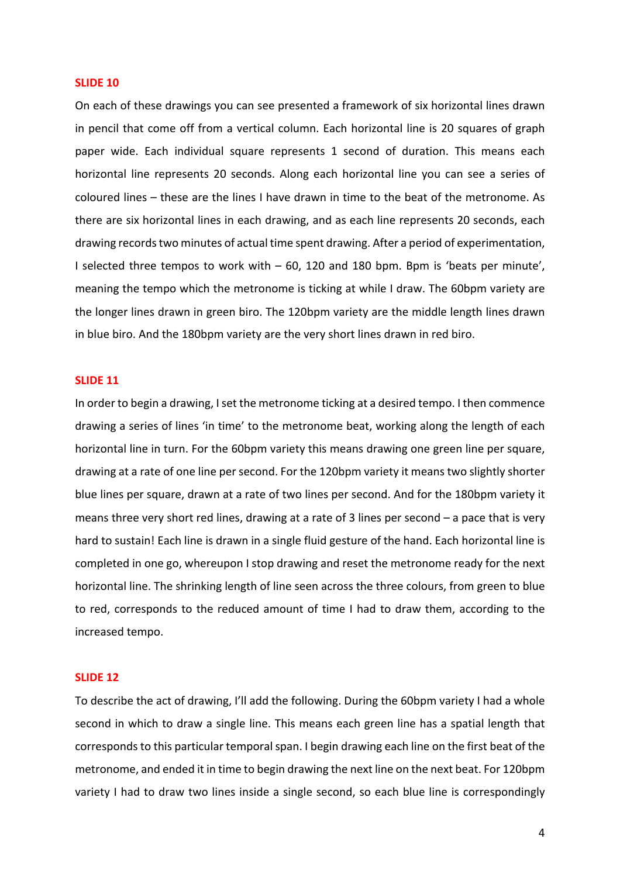#### **SLIDE 10**

On each of these drawings you can see presented a framework of six horizontal lines drawn in pencil that come off from a vertical column. Each horizontal line is 20 squares of graph paper wide. Each individual square represents 1 second of duration. This means each horizontal line represents 20 seconds. Along each horizontal line you can see a series of coloured lines – these are the lines I have drawn in time to the beat of the metronome. As there are six horizontal lines in each drawing, and as each line represents 20 seconds, each drawing records two minutes of actual time spent drawing. After a period of experimentation, I selected three tempos to work with  $-60$ , 120 and 180 bpm. Bpm is 'beats per minute', meaning the tempo which the metronome is ticking at while I draw. The 60bpm variety are the longer lines drawn in green biro. The 120bpm variety are the middle length lines drawn in blue biro. And the 180bpm variety are the very short lines drawn in red biro.

#### **SLIDE 11**

In order to begin a drawing, I set the metronome ticking at a desired tempo. I then commence drawing a series of lines 'in time' to the metronome beat, working along the length of each horizontal line in turn. For the 60bpm variety this means drawing one green line per square, drawing at a rate of one line per second. For the 120bpm variety it means two slightly shorter blue lines per square, drawn at a rate of two lines per second. And for the 180bpm variety it means three very short red lines, drawing at a rate of 3 lines per second  $-$  a pace that is very hard to sustain! Each line is drawn in a single fluid gesture of the hand. Each horizontal line is completed in one go, whereupon I stop drawing and reset the metronome ready for the next horizontal line. The shrinking length of line seen across the three colours, from green to blue to red, corresponds to the reduced amount of time I had to draw them, according to the increased tempo.

## **SLIDE 12**

To describe the act of drawing, I'll add the following. During the 60bpm variety I had a whole second in which to draw a single line. This means each green line has a spatial length that corresponds to this particular temporal span. I begin drawing each line on the first beat of the metronome, and ended it in time to begin drawing the next line on the next beat. For 120bpm variety I had to draw two lines inside a single second, so each blue line is correspondingly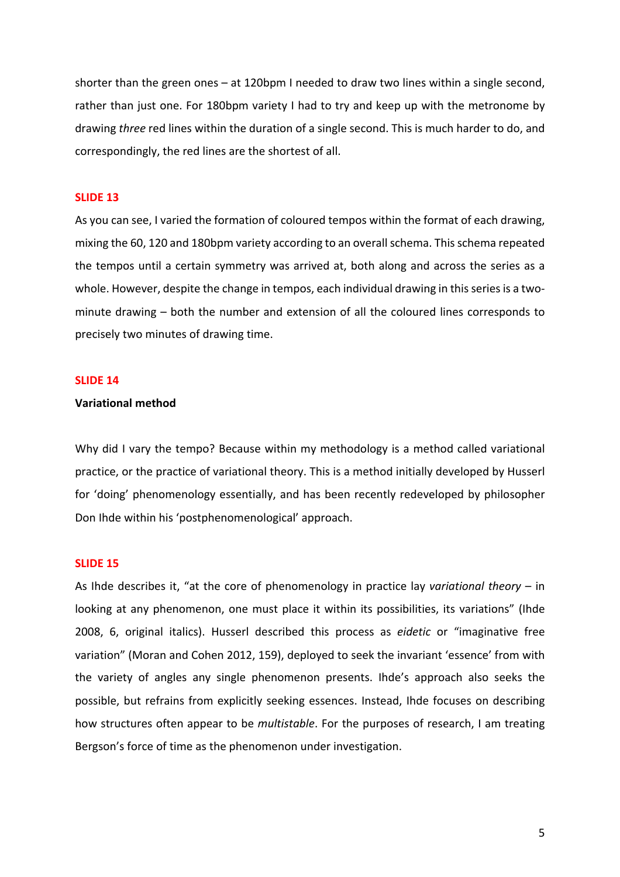shorter than the green ones – at 120bpm I needed to draw two lines within a single second, rather than just one. For 180bpm variety I had to try and keep up with the metronome by drawing *three* red lines within the duration of a single second. This is much harder to do, and correspondingly, the red lines are the shortest of all.

# **SLIDE 13**

As you can see, I varied the formation of coloured tempos within the format of each drawing, mixing the 60, 120 and 180bpm variety according to an overall schema. This schema repeated the tempos until a certain symmetry was arrived at, both along and across the series as a whole. However, despite the change in tempos, each individual drawing in this series is a twominute drawing  $-$  both the number and extension of all the coloured lines corresponds to precisely two minutes of drawing time.

#### **SLIDE 14**

# **Variational method**

Why did I vary the tempo? Because within my methodology is a method called variational practice, or the practice of variational theory. This is a method initially developed by Husserl for 'doing' phenomenology essentially, and has been recently redeveloped by philosopher Don Ihde within his 'postphenomenological' approach.

# **SLIDE 15**

As Ihde describes it, "at the core of phenomenology in practice lay *variational theory* – in looking at any phenomenon, one must place it within its possibilities, its variations" (Ihde 2008, 6, original italics). Husserl described this process as *eidetic* or "imaginative free variation" (Moran and Cohen 2012, 159), deployed to seek the invariant 'essence' from with the variety of angles any single phenomenon presents. Ihde's approach also seeks the possible, but refrains from explicitly seeking essences. Instead, Ihde focuses on describing how structures often appear to be *multistable*. For the purposes of research, I am treating Bergson's force of time as the phenomenon under investigation.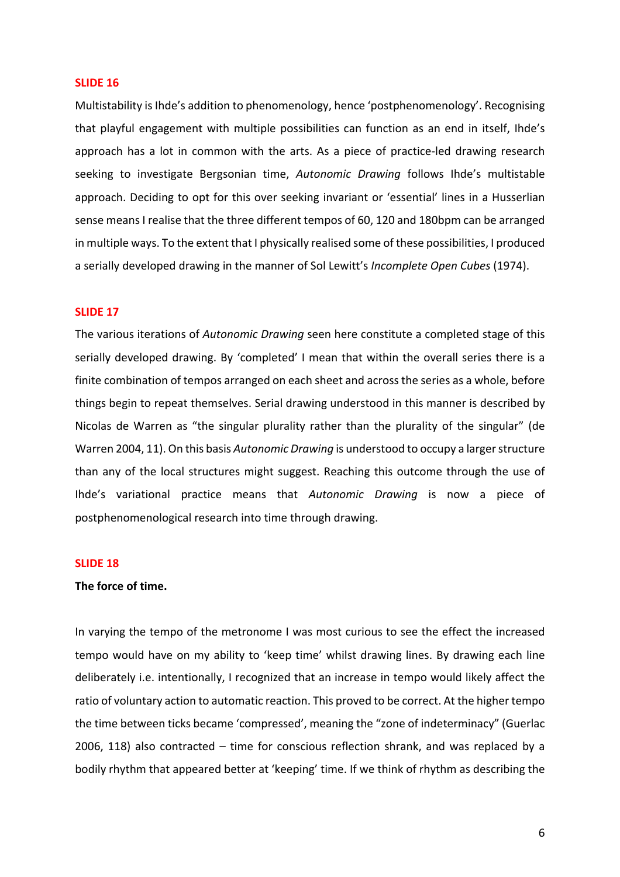### **SLIDE 16**

Multistability is Ihde's addition to phenomenology, hence 'postphenomenology'. Recognising that playful engagement with multiple possibilities can function as an end in itself, Ihde's approach has a lot in common with the arts. As a piece of practice-led drawing research seeking to investigate Bergsonian time, Autonomic Drawing follows Ihde's multistable approach. Deciding to opt for this over seeking invariant or 'essential' lines in a Husserlian sense means I realise that the three different tempos of 60, 120 and 180bpm can be arranged in multiple ways. To the extent that I physically realised some of these possibilities, I produced a serially developed drawing in the manner of Sol Lewitt's *Incomplete Open Cubes* (1974).

# **SLIDE 17**

The various iterations of *Autonomic Drawing* seen here constitute a completed stage of this serially developed drawing. By 'completed' I mean that within the overall series there is a finite combination of tempos arranged on each sheet and across the series as a whole, before things begin to repeat themselves. Serial drawing understood in this manner is described by Nicolas de Warren as "the singular plurality rather than the plurality of the singular" (de Warren 2004, 11). On this basis Autonomic Drawing is understood to occupy a larger structure than any of the local structures might suggest. Reaching this outcome through the use of Ihde's variational practice means that *Autonomic Drawing* is now a piece of postphenomenological research into time through drawing.

## **SLIDE 18**

# The force of time.

In varying the tempo of the metronome I was most curious to see the effect the increased tempo would have on my ability to 'keep time' whilst drawing lines. By drawing each line deliberately i.e. intentionally, I recognized that an increase in tempo would likely affect the ratio of voluntary action to automatic reaction. This proved to be correct. At the higher tempo the time between ticks became 'compressed', meaning the "zone of indeterminacy" (Guerlac 2006, 118) also contracted  $-$  time for conscious reflection shrank, and was replaced by a bodily rhythm that appeared better at 'keeping' time. If we think of rhythm as describing the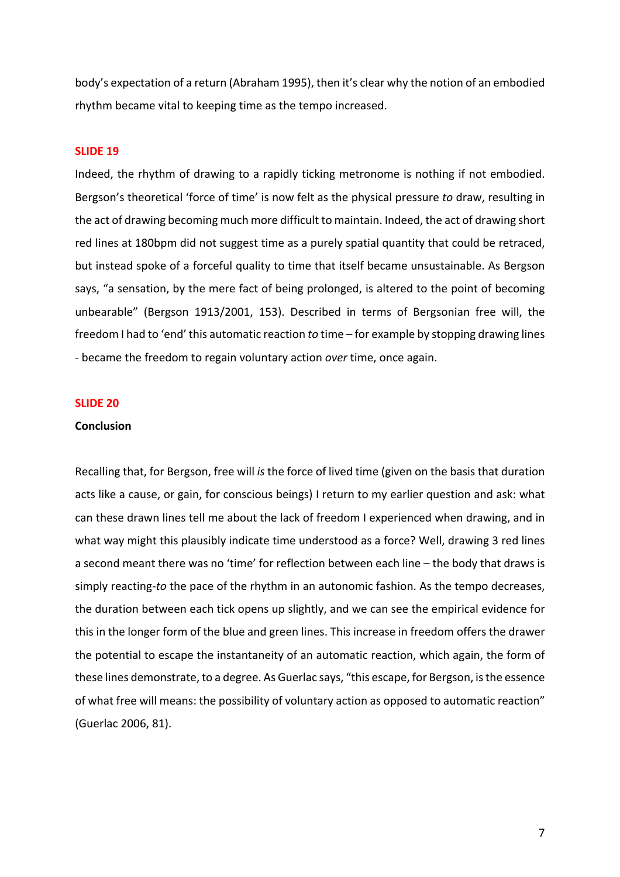body's expectation of a return (Abraham 1995), then it's clear why the notion of an embodied rhythm became vital to keeping time as the tempo increased.

# **SLIDE 19**

Indeed, the rhythm of drawing to a rapidly ticking metronome is nothing if not embodied. Bergson's theoretical 'force of time' is now felt as the physical pressure to draw, resulting in the act of drawing becoming much more difficult to maintain. Indeed, the act of drawing short red lines at 180bpm did not suggest time as a purely spatial quantity that could be retraced, but instead spoke of a forceful quality to time that itself became unsustainable. As Bergson says, "a sensation, by the mere fact of being prolonged, is altered to the point of becoming unbearable" (Bergson 1913/2001, 153). Described in terms of Bergsonian free will, the freedom I had to 'end' this automatic reaction to time – for example by stopping drawing lines - became the freedom to regain voluntary action *over* time, once again.

#### **SLIDE 20**

# **Conclusion**

Recalling that, for Bergson, free will is the force of lived time (given on the basis that duration acts like a cause, or gain, for conscious beings) I return to my earlier question and ask: what can these drawn lines tell me about the lack of freedom I experienced when drawing, and in what way might this plausibly indicate time understood as a force? Well, drawing 3 red lines a second meant there was no 'time' for reflection between each line - the body that draws is simply reacting-to the pace of the rhythm in an autonomic fashion. As the tempo decreases, the duration between each tick opens up slightly, and we can see the empirical evidence for this in the longer form of the blue and green lines. This increase in freedom offers the drawer the potential to escape the instantaneity of an automatic reaction, which again, the form of these lines demonstrate, to a degree. As Guerlac says, "this escape, for Bergson, is the essence of what free will means: the possibility of voluntary action as opposed to automatic reaction" (Guerlac 2006, 81).